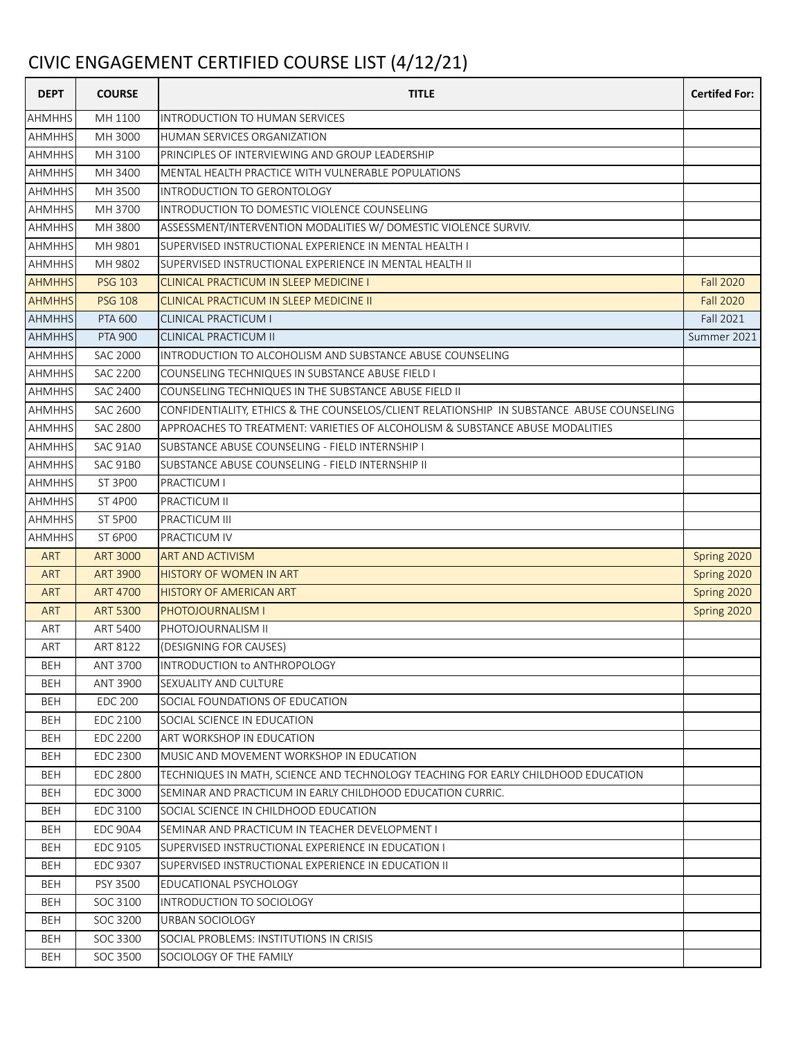## CIVIC ENGAGEMENT CERTIFIED COURSE LIST (4/12/21)

| <b>DEPT</b>   | <b>COURSE</b>   | <b>TITLE</b>                                                                              | <b>Certifed For:</b> |
|---------------|-----------------|-------------------------------------------------------------------------------------------|----------------------|
| <b>AHMHHS</b> | MH 1100         | <b>INTRODUCTION TO HUMAN SERVICES</b>                                                     |                      |
| <b>AHMHHS</b> | MH 3000         | HUMAN SERVICES ORGANIZATION                                                               |                      |
| <b>AHMHHS</b> | MH 3100         | PRINCIPLES OF INTERVIEWING AND GROUP LEADERSHIP                                           |                      |
| <b>AHMHHS</b> | MH 3400         | MENTAL HEALTH PRACTICE WITH VULNERABLE POPULATIONS                                        |                      |
| <b>AHMHHS</b> | MH 3500         | INTRODUCTION TO GERONTOLOGY                                                               |                      |
| <b>AHMHHS</b> | MH 3700         | INTRODUCTION TO DOMESTIC VIOLENCE COUNSELING                                              |                      |
| <b>AHMHHS</b> | MH 3800         | ASSESSMENT/INTERVENTION MODALITIES W/ DOMESTIC VIOLENCE SURVIV.                           |                      |
| <b>AHMHHS</b> | MH 9801         | SUPERVISED INSTRUCTIONAL EXPERIENCE IN MENTAL HEALTH I                                    |                      |
| <b>AHMHHS</b> | MH 9802         | SUPERVISED INSTRUCTIONAL EXPERIENCE IN MENTAL HEALTH II                                   |                      |
| <b>AHMHHS</b> | <b>PSG 103</b>  | <b>CLINICAL PRACTICUM IN SLEEP MEDICINE I</b>                                             | <b>Fall 2020</b>     |
| <b>AHMHHS</b> | <b>PSG 108</b>  | CLINICAL PRACTICUM IN SLEEP MEDICINE II                                                   | <b>Fall 2020</b>     |
| <b>AHMHHS</b> | <b>PTA 600</b>  | <b>CLINICAL PRACTICUM I</b>                                                               | Fall 2021            |
| <b>AHMHHS</b> | <b>PTA 900</b>  | CLINICAL PRACTICUM II                                                                     | Summer 2021          |
| <b>AHMHHS</b> | <b>SAC 2000</b> | INTRODUCTION TO ALCOHOLISM AND SUBSTANCE ABUSE COUNSELING                                 |                      |
| <b>AHMHHS</b> | <b>SAC 2200</b> | COUNSELING TECHNIQUES IN SUBSTANCE ABUSE FIELD I                                          |                      |
| <b>AHMHHS</b> | <b>SAC 2400</b> | COUNSELING TECHNIQUES IN THE SUBSTANCE ABUSE FIELD II                                     |                      |
| <b>AHMHHS</b> | <b>SAC 2600</b> | CONFIDENTIALITY, ETHICS & THE COUNSELOS/CLIENT RELATIONSHIP IN SUBSTANCE ABUSE COUNSELING |                      |
| <b>AHMHHS</b> | <b>SAC 2800</b> | APPROACHES TO TREATMENT: VARIETIES OF ALCOHOLISM & SUBSTANCE ABUSE MODALITIES             |                      |
| <b>AHMHHS</b> | <b>SAC 91A0</b> | SUBSTANCE ABUSE COUNSELING - FIELD INTERNSHIP I                                           |                      |
| <b>AHMHHS</b> | <b>SAC 91B0</b> | SUBSTANCE ABUSE COUNSELING - FIELD INTERNSHIP II                                          |                      |
| <b>AHMHHS</b> | ST 3P00         | PRACTICUM I                                                                               |                      |
| <b>AHMHHS</b> | <b>ST 4P00</b>  | PRACTICUM II                                                                              |                      |
| <b>AHMHHS</b> | <b>ST 5P00</b>  | <b>PRACTICUM III</b>                                                                      |                      |
| <b>AHMHHS</b> | <b>ST 6P00</b>  | PRACTICUM IV                                                                              |                      |
| <b>ART</b>    | <b>ART 3000</b> | <b>ART AND ACTIVISM</b>                                                                   | Spring 2020          |
| <b>ART</b>    | <b>ART 3900</b> | <b>HISTORY OF WOMEN IN ART</b>                                                            | Spring 2020          |
| <b>ART</b>    | <b>ART 4700</b> | <b>HISTORY OF AMERICAN ART</b>                                                            | Spring 2020          |
| <b>ART</b>    | <b>ART 5300</b> | <b>PHOTOJOURNALISM I</b>                                                                  | Spring 2020          |
| ART           | ART 5400        | PHOTOJOURNALISM II                                                                        |                      |
| ART           | ART 8122        | (DESIGNING FOR CAUSES)                                                                    |                      |
| BEH           | ANT 3700        | INTRODUCTION to ANTHROPOLOGY                                                              |                      |
| <b>BEH</b>    | ANT 3900        | <b>SEXUALITY AND CULTURE</b>                                                              |                      |
| BEH           | <b>EDC 200</b>  | SOCIAL FOUNDATIONS OF EDUCATION                                                           |                      |
| <b>BEH</b>    | <b>EDC 2100</b> | SOCIAL SCIENCE IN EDUCATION                                                               |                      |
| <b>BEH</b>    | <b>EDC 2200</b> | <b>ART WORKSHOP IN EDUCATION</b>                                                          |                      |
| <b>BEH</b>    | <b>EDC 2300</b> | MUSIC AND MOVEMENT WORKSHOP IN EDUCATION                                                  |                      |
| <b>BEH</b>    | <b>EDC 2800</b> | TECHNIQUES IN MATH, SCIENCE AND TECHNOLOGY TEACHING FOR EARLY CHILDHOOD EDUCATION         |                      |
| <b>BEH</b>    | <b>EDC 3000</b> | SEMINAR AND PRACTICUM IN EARLY CHILDHOOD EDUCATION CURRIC.                                |                      |
| <b>BEH</b>    | EDC 3100        | SOCIAL SCIENCE IN CHILDHOOD EDUCATION                                                     |                      |
| <b>BEH</b>    | <b>EDC 90A4</b> | SEMINAR AND PRACTICUM IN TEACHER DEVELOPMENT I                                            |                      |
| <b>BEH</b>    | EDC 9105        | SUPERVISED INSTRUCTIONAL EXPERIENCE IN EDUCATION I                                        |                      |
| <b>BEH</b>    | EDC 9307        | SUPERVISED INSTRUCTIONAL EXPERIENCE IN EDUCATION II                                       |                      |
| <b>BEH</b>    | PSY 3500        | EDUCATIONAL PSYCHOLOGY                                                                    |                      |
| <b>BEH</b>    | SOC 3100        | INTRODUCTION TO SOCIOLOGY                                                                 |                      |
| <b>BEH</b>    | SOC 3200        | URBAN SOCIOLOGY                                                                           |                      |
| <b>BEH</b>    | SOC 3300        | SOCIAL PROBLEMS: INSTITUTIONS IN CRISIS                                                   |                      |
| <b>BEH</b>    | SOC 3500        | SOCIOLOGY OF THE FAMILY                                                                   |                      |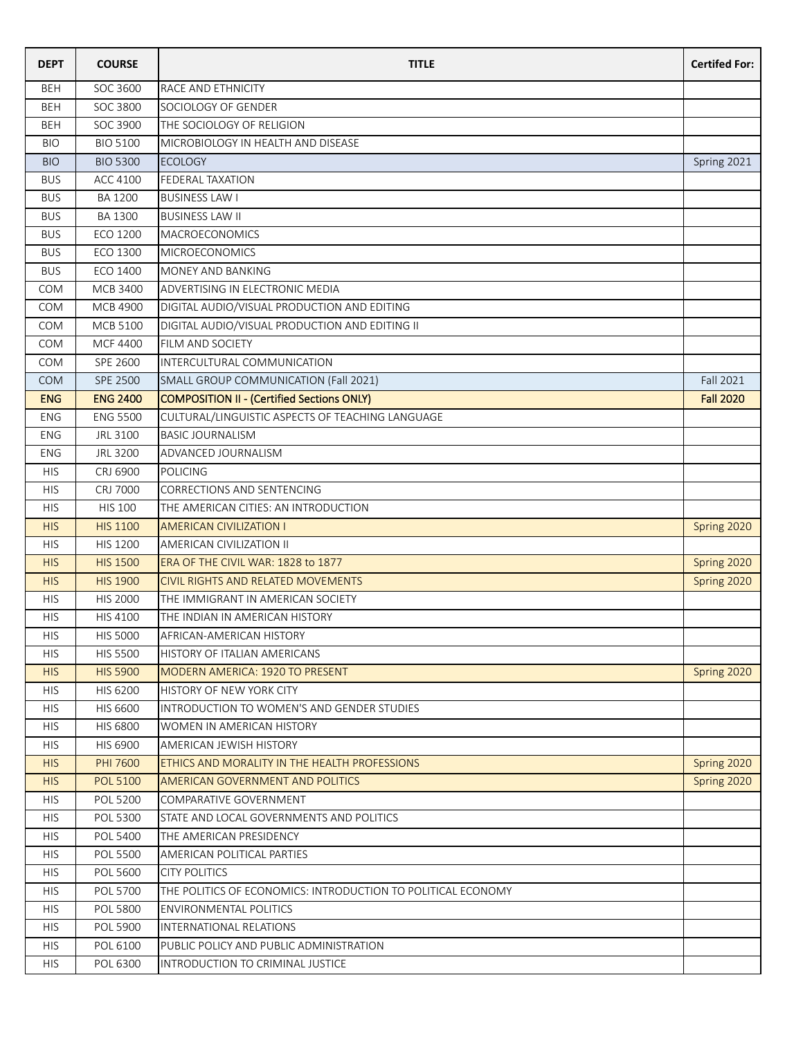| <b>DEPT</b> | <b>COURSE</b>   | <b>TITLE</b>                                                 | <b>Certifed For:</b> |
|-------------|-----------------|--------------------------------------------------------------|----------------------|
| <b>BEH</b>  | SOC 3600        | RACE AND ETHNICITY                                           |                      |
| <b>BEH</b>  | SOC 3800        | SOCIOLOGY OF GENDER                                          |                      |
| <b>BEH</b>  | SOC 3900        | THE SOCIOLOGY OF RELIGION                                    |                      |
| <b>BIO</b>  | <b>BIO 5100</b> | MICROBIOLOGY IN HEALTH AND DISEASE                           |                      |
| <b>BIO</b>  | <b>BIO 5300</b> | <b>ECOLOGY</b>                                               | Spring 2021          |
| <b>BUS</b>  | ACC 4100        | <b>FEDERAL TAXATION</b>                                      |                      |
| <b>BUS</b>  | BA 1200         | <b>BUSINESS LAW I</b>                                        |                      |
| <b>BUS</b>  | <b>BA 1300</b>  | <b>BUSINESS LAW II</b>                                       |                      |
| <b>BUS</b>  | ECO 1200        | <b>MACROECONOMICS</b>                                        |                      |
| <b>BUS</b>  | ECO 1300        | <b>MICROECONOMICS</b>                                        |                      |
| <b>BUS</b>  | ECO 1400        | MONEY AND BANKING                                            |                      |
| <b>COM</b>  | <b>MCB 3400</b> | ADVERTISING IN ELECTRONIC MEDIA                              |                      |
| <b>COM</b>  | <b>MCB 4900</b> | DIGITAL AUDIO/VISUAL PRODUCTION AND EDITING                  |                      |
| <b>COM</b>  | <b>MCB 5100</b> | DIGITAL AUDIO/VISUAL PRODUCTION AND EDITING II               |                      |
| <b>COM</b>  | MCF 4400        | FILM AND SOCIETY                                             |                      |
| <b>COM</b>  | SPE 2600        | INTERCULTURAL COMMUNICATION                                  |                      |
| <b>COM</b>  | SPE 2500        | SMALL GROUP COMMUNICATION (Fall 2021)                        | Fall 2021            |
| <b>ENG</b>  | <b>ENG 2400</b> | COMPOSITION II - (Certified Sections ONLY)                   | <b>Fall 2020</b>     |
| ENG         | <b>ENG 5500</b> | CULTURAL/LINGUISTIC ASPECTS OF TEACHING LANGUAGE             |                      |
| <b>ENG</b>  | JRL 3100        | <b>BASIC JOURNALISM</b>                                      |                      |
| ENG         | JRL 3200        | ADVANCED JOURNALISM                                          |                      |
| <b>HIS</b>  | CRJ 6900        | POLICING                                                     |                      |
| <b>HIS</b>  | <b>CRJ 7000</b> | CORRECTIONS AND SENTENCING                                   |                      |
| <b>HIS</b>  | <b>HIS 100</b>  | THE AMERICAN CITIES: AN INTRODUCTION                         |                      |
| <b>HIS</b>  | <b>HIS 1100</b> | <b>AMERICAN CIVILIZATION I</b>                               | Spring 2020          |
| <b>HIS</b>  | <b>HIS 1200</b> | AMERICAN CIVILIZATION II                                     |                      |
| <b>HIS</b>  | <b>HIS 1500</b> | ERA OF THE CIVIL WAR: 1828 to 1877                           | Spring 2020          |
| <b>HIS</b>  | <b>HIS 1900</b> | CIVIL RIGHTS AND RELATED MOVEMENTS                           | Spring 2020          |
| <b>HIS</b>  | <b>HIS 2000</b> | THE IMMIGRANT IN AMERICAN SOCIETY                            |                      |
| <b>HIS</b>  | HIS 4100        | THE INDIAN IN AMERICAN HISTORY                               |                      |
| <b>HIS</b>  | <b>HIS 5000</b> | AFRICAN-AMERICAN HISTORY                                     |                      |
| <b>HIS</b>  | <b>HIS 5500</b> | HISTORY OF ITALIAN AMERICANS                                 |                      |
| <b>HIS</b>  | <b>HIS 5900</b> | <b>MODERN AMERICA: 1920 TO PRESENT</b>                       | Spring 2020          |
| <b>HIS</b>  | HIS 6200        | HISTORY OF NEW YORK CITY                                     |                      |
| <b>HIS</b>  | HIS 6600        | INTRODUCTION TO WOMEN'S AND GENDER STUDIES                   |                      |
| <b>HIS</b>  | <b>HIS 6800</b> | WOMEN IN AMERICAN HISTORY                                    |                      |
| <b>HIS</b>  | HIS 6900        | AMERICAN JEWISH HISTORY                                      |                      |
| <b>HIS</b>  | <b>PHI 7600</b> | ETHICS AND MORALITY IN THE HEALTH PROFESSIONS                | Spring 2020          |
| <b>HIS</b>  | <b>POL 5100</b> | AMERICAN GOVERNMENT AND POLITICS                             | Spring 2020          |
| <b>HIS</b>  | <b>POL 5200</b> | COMPARATIVE GOVERNMENT                                       |                      |
| <b>HIS</b>  | POL 5300        | STATE AND LOCAL GOVERNMENTS AND POLITICS                     |                      |
| <b>HIS</b>  | POL 5400        | THE AMERICAN PRESIDENCY                                      |                      |
| <b>HIS</b>  | POL 5500        | <b>AMERICAN POLITICAL PARTIES</b>                            |                      |
| <b>HIS</b>  | <b>POL 5600</b> | <b>CITY POLITICS</b>                                         |                      |
| <b>HIS</b>  | POL 5700        | THE POLITICS OF ECONOMICS: INTRODUCTION TO POLITICAL ECONOMY |                      |
| <b>HIS</b>  | POL 5800        | ENVIRONMENTAL POLITICS                                       |                      |
| <b>HIS</b>  | POL 5900        | INTERNATIONAL RELATIONS                                      |                      |
| <b>HIS</b>  | POL 6100        | PUBLIC POLICY AND PUBLIC ADMINISTRATION                      |                      |
| <b>HIS</b>  | POL 6300        | INTRODUCTION TO CRIMINAL JUSTICE                             |                      |